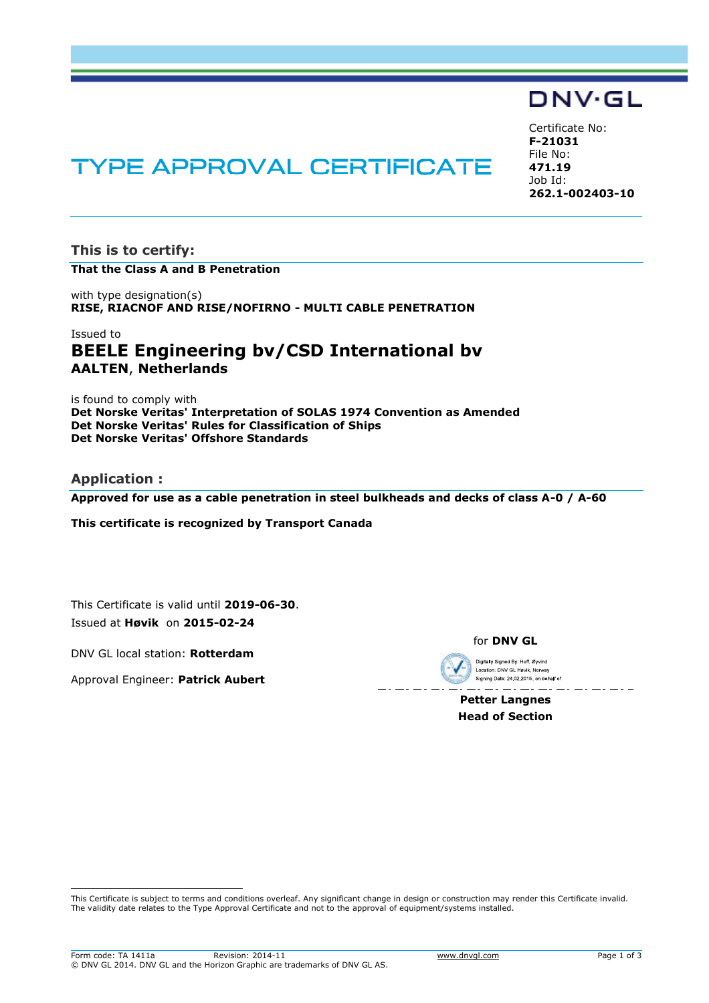# DNV·GL

# **TYPE APPROVAL CERTIFICATE**

Certificate No: **F-21031**  File No: **471.19**  Job Id: **262.1-002403-10** 

**This is to certify: That the Class A and B Penetration**

with type designation(s) **RISE, RIACNOF AND RISE/NOFIRNO - MULTI CABLE PENETRATION**

# Issued to **BEELE Engineering bv/CSD International bv AALTEN**, **Netherlands**

is found to comply with **Det Norske Veritas' Interpretation of SOLAS 1974 Convention as Amended Det Norske Veritas' Rules for Classification of Ships Det Norske Veritas' Offshore Standards** 

## **Application :**

i<br>I

**Approved for use as a cable penetration in steel bulkheads and decks of class A-0 / A-60** 

**This certificate is recognized by Transport Canada**

This Certificate is valid until **2019-06-30**. Issued at **Høvik** on **2015-02-24**

DNV GL local station: **Rotterdam**

Approval Engineer: **Patrick Aubert**

for **DNV GL**

Digitally Signed By: Hoff. Øvvind Location: DNV GL Høvik, Norway Signing Date: 24.02.2015, on behalf of

**Petter Langnes Head of Section** 

This Certificate is subject to terms and conditions overleaf. Any significant change in design or construction may render this Certificate invalid. The validity date relates to the Type Approval Certificate and not to the approval of equipment/systems installed.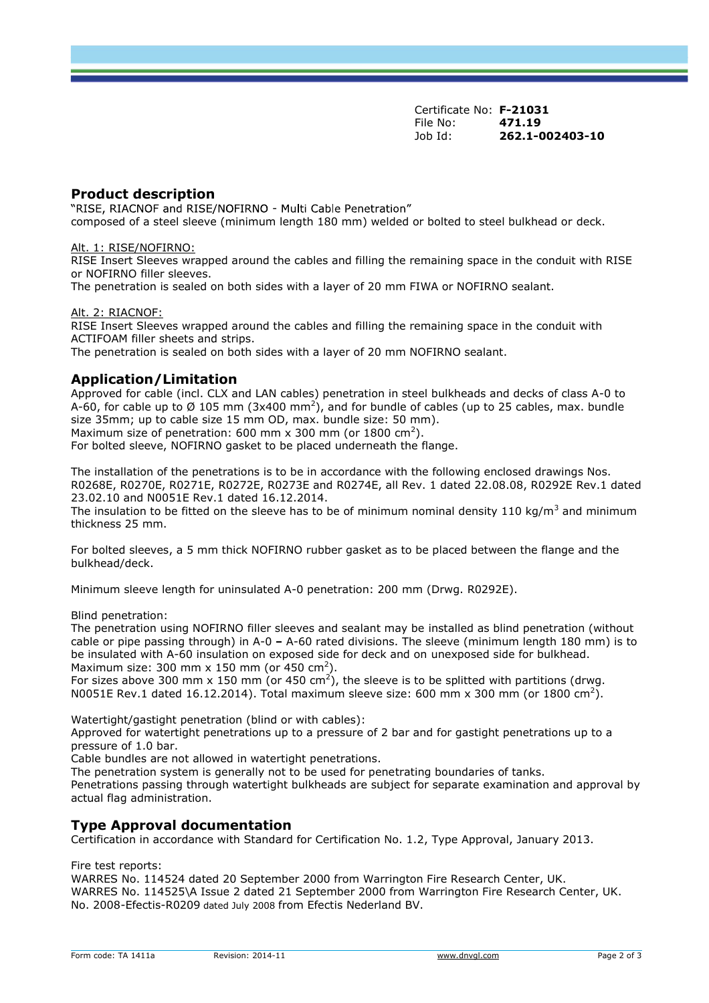Certificate No: **F-21031** File No: **471.19**  Job Id: **262.1-002403-10** 

## **Product description**

"RISE, RIACNOF and RISE/NOFIRNO - Multi Cable Penetration" composed of a steel sleeve (minimum length 180 mm) welded or bolted to steel bulkhead or deck.

#### Alt. 1: RISE/NOFIRNO:

RISE Insert Sleeves wrapped around the cables and filling the remaining space in the conduit with RISE or NOFIRNO filler sleeves.

The penetration is sealed on both sides with a layer of 20 mm FIWA or NOFIRNO sealant.

#### Alt. 2: RIACNOF:

RISE Insert Sleeves wrapped around the cables and filling the remaining space in the conduit with ACTIFOAM filler sheets and strips.

The penetration is sealed on both sides with a layer of 20 mm NOFIRNO sealant.

### **Application/Limitation**

Approved for cable (incl. CLX and LAN cables) penetration in steel bulkheads and decks of class A-0 to A-60, for cable up to Ø 105 mm (3x400 mm<sup>2</sup>), and for bundle of cables (up to 25 cables, max. bundle size 35mm; up to cable size 15 mm OD, max. bundle size: 50 mm). Maximum size of penetration: 600 mm x 300 mm (or 1800 cm<sup>2</sup>).

For bolted sleeve, NOFIRNO gasket to be placed underneath the flange.

The installation of the penetrations is to be in accordance with the following enclosed drawings Nos. R0268E, R0270E, R0271E, R0272E, R0273E and R0274E, all Rev. 1 dated 22.08.08, R0292E Rev.1 dated 23.02.10 and N0051E Rev.1 dated 16.12.2014.

The insulation to be fitted on the sleeve has to be of minimum nominal density 110 kg/m<sup>3</sup> and minimum thickness 25 mm.

For bolted sleeves, a 5 mm thick NOFIRNO rubber gasket as to be placed between the flange and the bulkhead/deck.

Minimum sleeve length for uninsulated A-0 penetration: 200 mm (Drwg. R0292E).

#### Blind penetration:

The penetration using NOFIRNO filler sleeves and sealant may be installed as blind penetration (without cable or pipe passing through) in A-0 - A-60 rated divisions. The sleeve (minimum length 180 mm) is to be insulated with A-60 insulation on exposed side for deck and on unexposed side for bulkhead. Maximum size: 300 mm x 150 mm (or 450 cm<sup>2</sup>).

For sizes above 300 mm x 150 mm (or 450 cm<sup>2</sup>), the sleeve is to be splitted with partitions (drwg. N0051E Rev.1 dated 16.12.2014). Total maximum sleeve size: 600 mm x 300 mm (or 1800 cm<sup>2</sup>).

Watertight/gastight penetration (blind or with cables):

Approved for watertight penetrations up to a pressure of 2 bar and for gastight penetrations up to a pressure of 1.0 bar.

Cable bundles are not allowed in watertight penetrations.

The penetration system is generally not to be used for penetrating boundaries of tanks. Penetrations passing through watertight bulkheads are subject for separate examination and approval by actual flag administration.

# **Type Approval documentation**

Certification in accordance with Standard for Certification No. 1.2, Type Approval, January 2013.

Fire test reports:

WARRES No. 114524 dated 20 September 2000 from Warrington Fire Research Center, UK. WARRES No. 114525\A Issue 2 dated 21 September 2000 from Warrington Fire Research Center, UK. No. 2008-Efectis-R0209 dated July 2008 from Efectis Nederland BV.